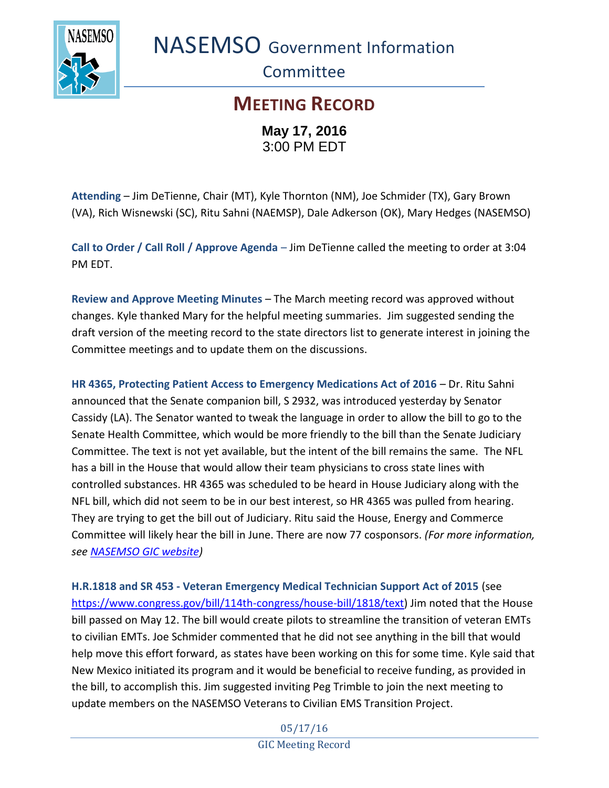

NASEMSO Government Information

**Committee** 

## **MEETING RECORD May 17, 2016**

3:00 PM EDT

**Attending** – Jim DeTienne, Chair (MT), Kyle Thornton (NM), Joe Schmider (TX), Gary Brown (VA), Rich Wisnewski (SC), Ritu Sahni (NAEMSP), Dale Adkerson (OK), Mary Hedges (NASEMSO)

**Call to Order / Call Roll / Approve Agenda** – Jim DeTienne called the meeting to order at 3:04 PM EDT.

**Review and Approve Meeting Minutes** – The March meeting record was approved without changes. Kyle thanked Mary for the helpful meeting summaries. Jim suggested sending the draft version of the meeting record to the state directors list to generate interest in joining the Committee meetings and to update them on the discussions.

**HR 4365, Protecting Patient Access to Emergency Medications Act of 2016** – Dr. Ritu Sahni announced that the Senate companion bill, S 2932, was introduced yesterday by Senator Cassidy (LA). The Senator wanted to tweak the language in order to allow the bill to go to the Senate Health Committee, which would be more friendly to the bill than the Senate Judiciary Committee. The text is not yet available, but the intent of the bill remains the same. The NFL has a bill in the House that would allow their team physicians to cross state lines with controlled substances. HR 4365 was scheduled to be heard in House Judiciary along with the NFL bill, which did not seem to be in our best interest, so HR 4365 was pulled from hearing. They are trying to get the bill out of Judiciary. Ritu said the House, Energy and Commerce Committee will likely hear the bill in June. There are now 77 cosponsors. *(For more information, see [NASEMSO GIC website\)](https://www.nasemso.org/Projects/Legislative-Regulatory-Issues.asp)*

**H.R.1818 and SR 453 - Veteran Emergency Medical Technician Support Act of 2015** (see [https://www.congress.gov/bill/114th-congress/house-bill/1818/text\)](https://www.congress.gov/bill/114th-congress/house-bill/1818/text) Jim noted that the House bill passed on May 12. The bill would create pilots to streamline the transition of veteran EMTs to civilian EMTs. Joe Schmider commented that he did not see anything in the bill that would help move this effort forward, as states have been working on this for some time. Kyle said that New Mexico initiated its program and it would be beneficial to receive funding, as provided in the bill, to accomplish this. Jim suggested inviting Peg Trimble to join the next meeting to update members on the NASEMSO Veterans to Civilian EMS Transition Project.

> 05/17/16 GIC Meeting Record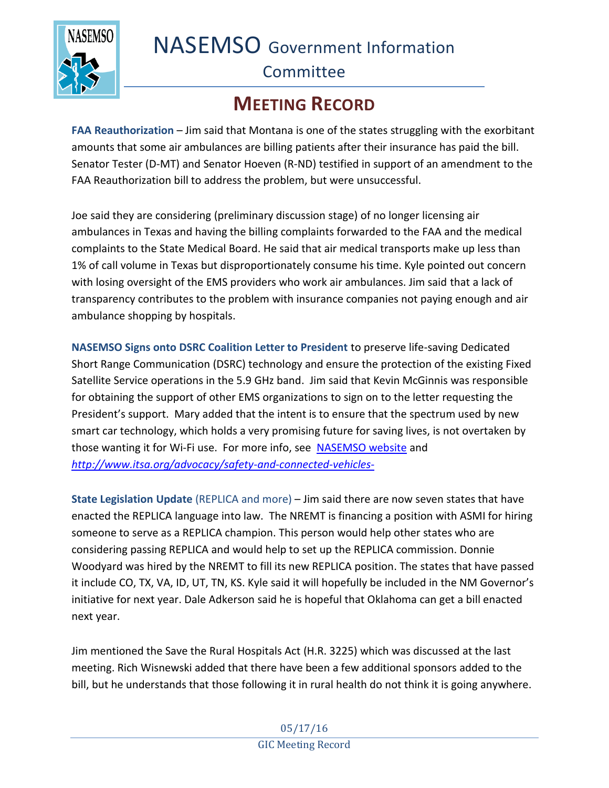NASEMSO Government Information



## **Committee**

## **MEETING RECORD**

**FAA Reauthorization – Jim said that Montana is one of the states struggling with the exorbitant** amounts that some air ambulances are billing patients after their insurance has paid the bill. Senator Tester (D-MT) and Senator Hoeven (R-ND) testified in support of an amendment to the FAA Reauthorization bill to address the problem, but were unsuccessful.

Joe said they are considering (preliminary discussion stage) of no longer licensing air ambulances in Texas and having the billing complaints forwarded to the FAA and the medical complaints to the State Medical Board. He said that air medical transports make up less than 1% of call volume in Texas but disproportionately consume his time. Kyle pointed out concern with losing oversight of the EMS providers who work air ambulances. Jim said that a lack of transparency contributes to the problem with insurance companies not paying enough and air ambulance shopping by hospitals.

**NASEMSO Signs onto DSRC Coalition Letter to President** to preserve life-saving Dedicated Short Range Communication (DSRC) technology and ensure the protection of the existing Fixed Satellite Service operations in the 5.9 GHz band. Jim said that Kevin McGinnis was responsible for obtaining the support of other EMS organizations to sign on to the letter requesting the President's support. Mary added that the intent is to ensure that the spectrum used by new smart car technology, which holds a very promising future for saving lives, is not overtaken by those wanting it for Wi-Fi use. For more info, see [NASEMSO website](https://www.nasemso.org/Projects/Legislative-Regulatory-Issues.asp) and *<http://www.itsa.org/advocacy/safety-and-connected-vehicles->*

**State Legislation Update** (REPLICA and more) – Jim said there are now seven states that have enacted the REPLICA language into law. The NREMT is financing a position with ASMI for hiring someone to serve as a REPLICA champion. This person would help other states who are considering passing REPLICA and would help to set up the REPLICA commission. Donnie Woodyard was hired by the NREMT to fill its new REPLICA position. The states that have passed it include CO, TX, VA, ID, UT, TN, KS. Kyle said it will hopefully be included in the NM Governor's initiative for next year. Dale Adkerson said he is hopeful that Oklahoma can get a bill enacted next year.

Jim mentioned the Save the Rural Hospitals Act (H.R. 3225) which was discussed at the last meeting. Rich Wisnewski added that there have been a few additional sponsors added to the bill, but he understands that those following it in rural health do not think it is going anywhere.